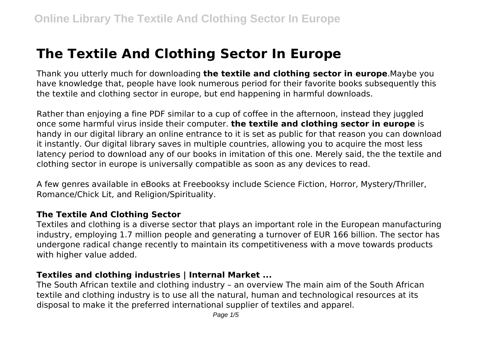# **The Textile And Clothing Sector In Europe**

Thank you utterly much for downloading **the textile and clothing sector in europe**.Maybe you have knowledge that, people have look numerous period for their favorite books subsequently this the textile and clothing sector in europe, but end happening in harmful downloads.

Rather than enjoying a fine PDF similar to a cup of coffee in the afternoon, instead they juggled once some harmful virus inside their computer. **the textile and clothing sector in europe** is handy in our digital library an online entrance to it is set as public for that reason you can download it instantly. Our digital library saves in multiple countries, allowing you to acquire the most less latency period to download any of our books in imitation of this one. Merely said, the the textile and clothing sector in europe is universally compatible as soon as any devices to read.

A few genres available in eBooks at Freebooksy include Science Fiction, Horror, Mystery/Thriller, Romance/Chick Lit, and Religion/Spirituality.

#### **The Textile And Clothing Sector**

Textiles and clothing is a diverse sector that plays an important role in the European manufacturing industry, employing 1.7 million people and generating a turnover of EUR 166 billion. The sector has undergone radical change recently to maintain its competitiveness with a move towards products with higher value added.

#### **Textiles and clothing industries | Internal Market ...**

The South African textile and clothing industry – an overview The main aim of the South African textile and clothing industry is to use all the natural, human and technological resources at its disposal to make it the preferred international supplier of textiles and apparel.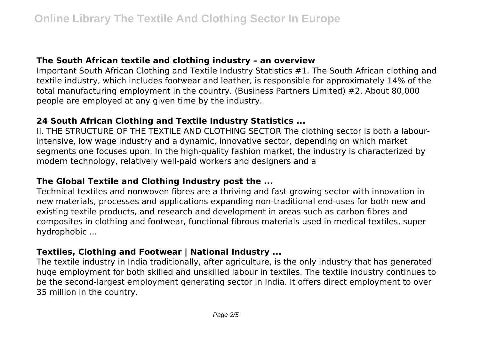#### **The South African textile and clothing industry – an overview**

Important South African Clothing and Textile Industry Statistics #1. The South African clothing and textile industry, which includes footwear and leather, is responsible for approximately 14% of the total manufacturing employment in the country. (Business Partners Limited) #2. About 80,000 people are employed at any given time by the industry.

# **24 South African Clothing and Textile Industry Statistics ...**

II. THE STRUCTURE OF THE TEXTILE AND CLOTHING SECTOR The clothing sector is both a labourintensive, low wage industry and a dynamic, innovative sector, depending on which market segments one focuses upon. In the high-quality fashion market, the industry is characterized by modern technology, relatively well-paid workers and designers and a

# **The Global Textile and Clothing Industry post the ...**

Technical textiles and nonwoven fibres are a thriving and fast-growing sector with innovation in new materials, processes and applications expanding non-traditional end-uses for both new and existing textile products, and research and development in areas such as carbon fibres and composites in clothing and footwear, functional fibrous materials used in medical textiles, super hydrophobic ...

#### **Textiles, Clothing and Footwear | National Industry ...**

The textile industry in India traditionally, after agriculture, is the only industry that has generated huge employment for both skilled and unskilled labour in textiles. The textile industry continues to be the second-largest employment generating sector in India. It offers direct employment to over 35 million in the country.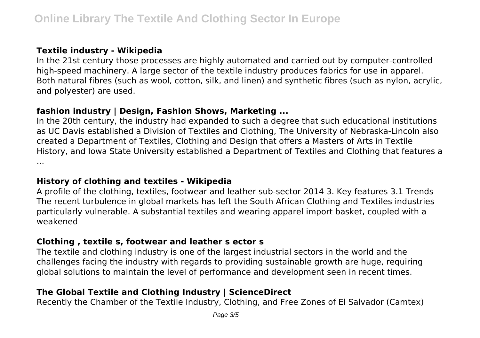# **Textile industry - Wikipedia**

In the 21st century those processes are highly automated and carried out by computer-controlled high-speed machinery. A large sector of the textile industry produces fabrics for use in apparel. Both natural fibres (such as wool, cotton, silk, and linen) and synthetic fibres (such as nylon, acrylic, and polyester) are used.

# **fashion industry | Design, Fashion Shows, Marketing ...**

In the 20th century, the industry had expanded to such a degree that such educational institutions as UC Davis established a Division of Textiles and Clothing, The University of Nebraska-Lincoln also created a Department of Textiles, Clothing and Design that offers a Masters of Arts in Textile History, and Iowa State University established a Department of Textiles and Clothing that features a ...

# **History of clothing and textiles - Wikipedia**

A profile of the clothing, textiles, footwear and leather sub-sector 2014 3. Key features 3.1 Trends The recent turbulence in global markets has left the South African Clothing and Textiles industries particularly vulnerable. A substantial textiles and wearing apparel import basket, coupled with a weakened

# **Clothing , textile s, footwear and leather s ector s**

The textile and clothing industry is one of the largest industrial sectors in the world and the challenges facing the industry with regards to providing sustainable growth are huge, requiring global solutions to maintain the level of performance and development seen in recent times.

# **The Global Textile and Clothing Industry | ScienceDirect**

Recently the Chamber of the Textile Industry, Clothing, and Free Zones of El Salvador (Camtex)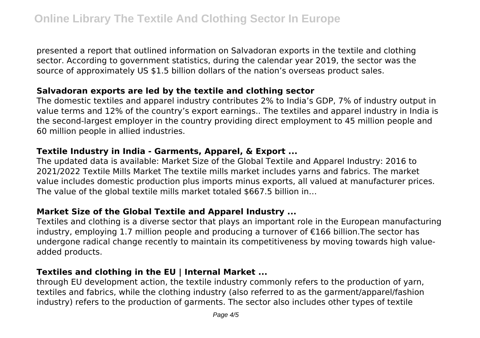presented a report that outlined information on Salvadoran exports in the textile and clothing sector. According to government statistics, during the calendar year 2019, the sector was the source of approximately US \$1.5 billion dollars of the nation's overseas product sales.

#### **Salvadoran exports are led by the textile and clothing sector**

The domestic textiles and apparel industry contributes 2% to India's GDP, 7% of industry output in value terms and 12% of the country's export earnings.. The textiles and apparel industry in India is the second-largest employer in the country providing direct employment to 45 million people and 60 million people in allied industries.

#### **Textile Industry in India - Garments, Apparel, & Export ...**

The updated data is available: Market Size of the Global Textile and Apparel Industry: 2016 to 2021/2022 Textile Mills Market The textile mills market includes yarns and fabrics. The market value includes domestic production plus imports minus exports, all valued at manufacturer prices. The value of the global textile mills market totaled \$667.5 billion in…

# **Market Size of the Global Textile and Apparel Industry ...**

Textiles and clothing is a diverse sector that plays an important role in the European manufacturing industry, employing 1.7 million people and producing a turnover of €166 billion.The sector has undergone radical change recently to maintain its competitiveness by moving towards high valueadded products.

# **Textiles and clothing in the EU | Internal Market ...**

through EU development action, the textile industry commonly refers to the production of yarn, textiles and fabrics, while the clothing industry (also referred to as the garment/apparel/fashion industry) refers to the production of garments. The sector also includes other types of textile